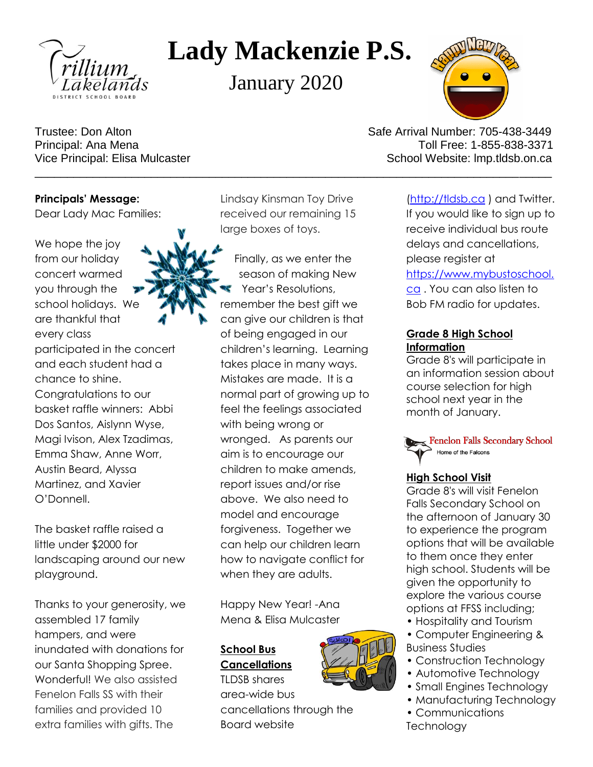

# **Lady Mackenzie P.S.**

January 2020



Trustee: Don Alton Safe Arrival Number: 705-438-3449 Principal: Ana Mena Toll Free: 1-855-838-3371 Vice Principal: Elisa Mulcaster New School Website: Imp.tldsb.on.ca

**Principals' Message:** Dear Lady Mac Families:

We hope the joy from our holiday concert warmed you through the school holidays. We are thankful that every class participated in the concert and each student had a chance to shine. Congratulations to our

basket raffle winners: Abbi Dos Santos, Aislynn Wyse, Magi Ivison, Alex Tzadimas, Emma Shaw, Anne Worr, Austin Beard, Alyssa Martinez, and Xavier O'Donnell.

The basket raffle raised a little under \$2000 for landscaping around our new playground.

Thanks to your generosity, we assembled 17 family hampers, and were inundated with donations for our Santa Shopping Spree. Wonderful! We also assisted Fenelon Falls SS with their families and provided 10 extra families with gifts. The

Lindsay Kinsman Toy Drive received our remaining 15 large boxes of toys.

Finally, as we enter the season of making New Year's Resolutions, remember the best gift we can give our children is that of being engaged in our children's learning. Learning takes place in many ways. Mistakes are made. It is a normal part of growing up to feel the feelings associated with being wrong or wronged. As parents our aim is to encourage our children to make amends, report issues and/or rise above. We also need to model and encourage forgiveness. Together we can help our children learn how to navigate conflict for when they are adults.

Happy New Year! -Ana Mena & Elisa Mulcaster

cancellations through the

## **School Bus Cancellations**

TLDSB shares area-wide bus

Board website



\_\_\_\_\_\_\_\_\_\_\_\_\_\_\_\_\_\_\_\_\_\_\_\_\_\_\_\_\_\_\_\_\_\_\_\_\_\_\_\_\_\_\_\_\_\_\_\_\_\_\_\_\_\_\_\_\_\_\_\_\_\_\_\_\_\_\_\_\_\_\_\_\_\_\_\_\_\_\_\_ [\(http://tldsb.ca](http://tldsb.ca/) ) and Twitter. If you would like to sign up to

receive individual bus route delays and cancellations, please register at [https://www.mybustoschool.](https://www.mybustoschool.ca/) [ca](https://www.mybustoschool.ca/) . You can also listen to Bob FM radio for updates.

### **Grade 8 High School Information**

Grade 8's will participate in an information session about course selection for high school next year in the month of January.

Fenelon Falls Secondary School Home of the Falcons

## **High School Visit**

Grade 8's will visit Fenelon Falls Secondary School on the afternoon of January 30 to experience the program options that will be available to them once they enter high school. Students will be given the opportunity to explore the various course options at FFSS including;

- Hospitality and Tourism
- Computer Engineering & Business Studies
- Construction Technology
- Automotive Technology
- Small Engines Technology
- Manufacturing Technology
- Communications **Technology**